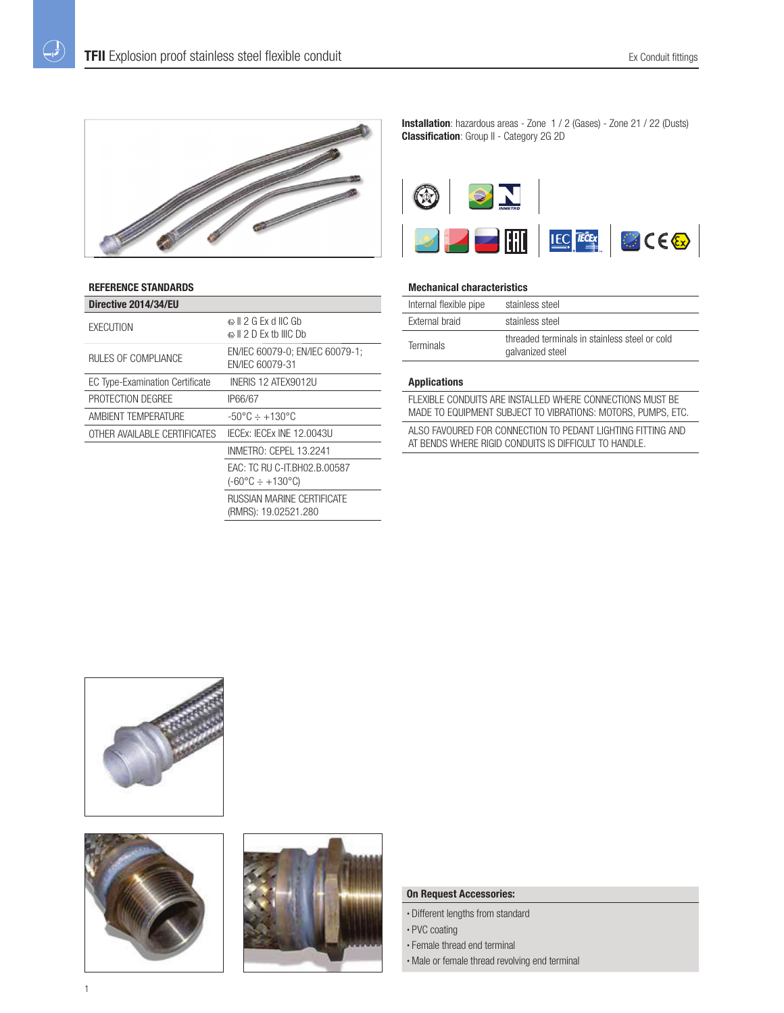

## **REFERENCE STANDARDS**

 $\bigoplus$ 

| Directive 2014/34/EU                   |                                                                     |
|----------------------------------------|---------------------------------------------------------------------|
| EXECUTION                              | ଈା ା 2 G Fx d IIC Gb<br>© II 2 D Ex th IIIC Dh                      |
| RULES OF COMPLIANCE                    | EN/IEC 60079-0; EN/IEC 60079-1;<br>EN/IEC 60079-31                  |
| <b>EC Type-Examination Certificate</b> | INERIS 12 ATEX9012U                                                 |
| PROTECTION DEGREE                      | IP66/67                                                             |
| AMBIENT TEMPERATURE                    | $-50^{\circ}$ C $\div$ $+130^{\circ}$ C                             |
| OTHER AVAILABLE CERTIFICATES           | IECEX: IECEX INE 12.0043U                                           |
|                                        | INMETRO: CEPEL 13.2241                                              |
|                                        | EAC: TC RU C-IT.BH02.B.00587<br>$(-60^{\circ}C \div +130^{\circ}C)$ |
|                                        | <b>RUSSIAN MARINE CERTIFICATE</b><br>(RMRS): 19.02521.280           |

**Installation**: hazardous areas - Zone 1 / 2 (Gases) - Zone 21 / 22 (Dusts) **Classification**: Group II - Category 2G 2D



## **Mechanical characteristics**

| Internal flexible pipe | stainless steel                                                   |
|------------------------|-------------------------------------------------------------------|
| External braid         | stainless steel                                                   |
| <b>Terminals</b>       | threaded terminals in stainless steel or cold<br>galvanized steel |

#### **Applications**

FLEXIBLE CONDUITS ARE INSTALLED WHERE CONNECTIONS MUST BE MADE TO EQUIPMENT SUBJECT TO VIBRATIONS: MOTORS, PUMPS, ETC.

ALSO FAVOURED FOR CONNECTION TO PEDANT LIGHTING FITTING AND AT BENDS WHERE RIGID CONDUITS IS DIFFICULT TO HANDLE.







#### **On Request Accessories:**

- Different lengths from standard
- PVC coating
- Female thread end terminal
- Male or female thread revolving end terminal